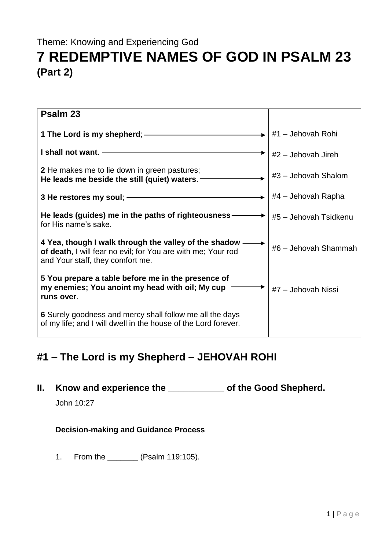## Theme: Knowing and Experiencing God **7 REDEMPTIVE NAMES OF GOD IN PSALM 23 (Part 2)**

| Psalm 23                                                                                                                                                    |                       |
|-------------------------------------------------------------------------------------------------------------------------------------------------------------|-----------------------|
|                                                                                                                                                             | #1 - Jehovah Rohi     |
| I shall not want. -                                                                                                                                         | $#2$ – Jehovah Jireh  |
| 2 He makes me to lie down in green pastures;<br>He leads me beside the still (quiet) waters. -                                                              | #3 - Jehovah Shalom   |
| 3 He restores my soul; ------                                                                                                                               | #4 – Jehovah Rapha    |
| He leads (guides) me in the paths of righteousness-<br>for His name's sake.                                                                                 | #5 - Jehovah Tsidkenu |
| 4 Yea, though I walk through the valley of the shadow -<br>of death, I will fear no evil; for You are with me; Your rod<br>and Your staff, they comfort me. | #6 - Jehovah Shammah  |
| 5 You prepare a table before me in the presence of<br>my enemies; You anoint my head with oil; My cup<br>runs over.                                         | #7 - Jehovah Nissi    |
| 6 Surely goodness and mercy shall follow me all the days<br>of my life; and I will dwell in the house of the Lord forever.                                  |                       |

## **#1 – The Lord is my Shepherd – JEHOVAH ROHI**

**II. Know and experience the \_\_\_\_\_\_\_\_\_\_\_ of the Good Shepherd.**

John 10:27

## **Decision-making and Guidance Process**

1. From the \_\_\_\_\_\_\_ (Psalm 119:105).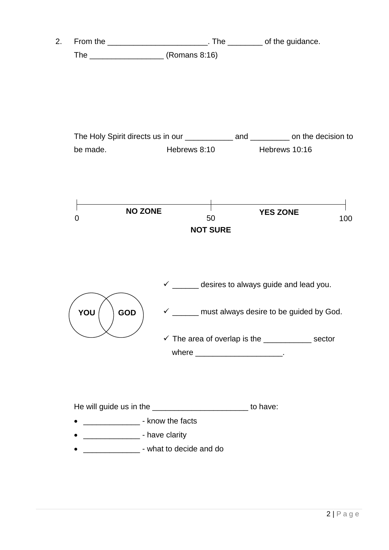2. From the \_\_\_\_\_\_\_\_\_\_\_\_\_\_\_\_\_\_\_\_\_\_\_\_\_\_\_\_\_\_\_\_. The \_\_\_\_\_\_\_\_\_\_\_ of the guidance. The \_\_\_\_\_\_\_\_\_\_\_\_\_\_\_\_\_ (Romans 8:16)





He will guide us in the \_\_\_\_\_\_\_\_\_\_\_\_\_\_\_\_\_\_\_\_\_\_\_\_\_\_\_\_ to have:

- \_\_\_\_\_\_\_\_\_\_\_\_\_\_\_\_\_ know the facts
- \_\_\_\_\_\_\_\_\_\_\_\_\_\_\_\_\_\_ have clarity
- \_\_\_\_\_\_\_\_\_\_\_\_\_ what to decide and do